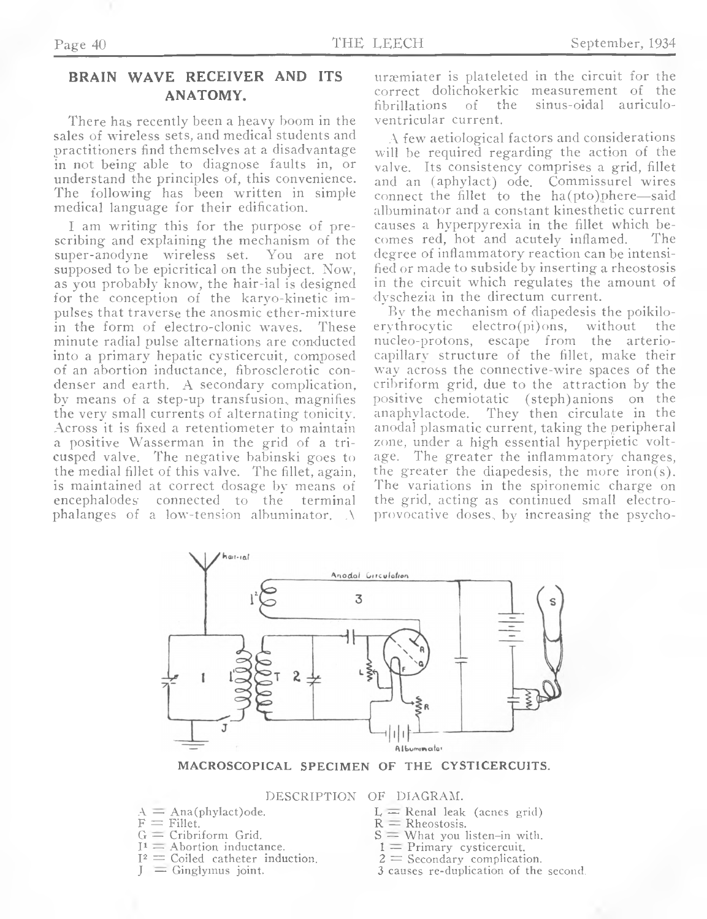## **BRAIN WAVE RECEIVER AND ITS ANATOMY.**

There has recently been a heavy boom in the sales of wireless sets, and medical students and practitioners find themselves at a disadvantage in not being able to diagnose faults in, or understand the principles of, this convenience. The following has been written in simple medical language for their edification.

I am writing this for the purpose of prescribing and explaining the mechanism of the super-anodyne wireless set. You are not supposed to be epicritical on the subject. Now, as you probably know, the hair-ial is designed for the conception of the karyo-kinetic impulses that traverse the anosmic ether-mixture in the form of electro-clonic waves. These minute radial pulse alternations are conducted into a primary hepatic cysticercuit, composed of an abortion inductance, fibrosclerotic condenser and earth. A secondary complication, by means of a step-up transfusion, magnifies the very small currents of alternating tonicity. Across it is fixed a retentiometer to maintain a positive Wasserman in the grid of a tricusped valve. The negative babinski goes to the medial fillet of this valve. The fillet, again, is maintained at correct dosage by means of encephalodes connected to the terminal phalanges of a low-tension albuminator. A

uræmiater is plateleted in the circuit for the correct dolichokerkic measurement of the fibrillations of the sinus-oidal auriculoventricular current.

A few aetiological factors and considerations will be required regarding the action of the valve. Its consistency comprises a grid, fillet and an (aphylact) ode. Commissurel wires connect the fillet to the ha(pto)phere—said albuminator and a constant kinesthetic current causes a hyperpyrexia in the fillet which becomes red, hot and acutely inflamed. degree of inflammatory reaction can be intensified or made to subside by inserting a rheostosis in the circuit which regulates the amount of dyschezia in the directum current.

By the mechanism of diapedesis the poikilo-<br>erythrocytic electro(pi)ons, without the  $electro(pi)$ ons, without the nucleo-protons, escape from the arteriocapillarv structure of the fillet, make their way across the connective-wire spaces of the cribriform grid, due to the attraction by the positive chemiotatic (steph)anions on the anaphylactode. They then circulate in the anodal plasmatic current, taking the peripheral zone, under a high essential hyperpietic voltage. The greater the inflammatory changes, the greater the diapedesis, the more iron(s). The variations in the spironemic charge on the grid, acting as continued small electroprovocative doses,, by increasing the psycho-



**MACROSCOPICAL SPECIMEN OF THE CYSTICERCUITS.**

DESCRIPTION OF DIAGRAM.

- $A =$ Ana(phylact)ode.
- $\widehat{F}$  = Fillet.
- $G =$  Cribriform Grid.
- $I^1$  = Abortion inductance.
- $I^2$  = Coiled catheter induction.

 $\equiv$  Ginglymus joint.

- $L =$ Renal leak (acnes grid)
- $R = R$ heostosis.
- $S =$  What you listen-in with.
- $1 =$  Primary cysticercuit.
- $2 =$  Secondary complication.
- 3 causes re-duplication of the second.